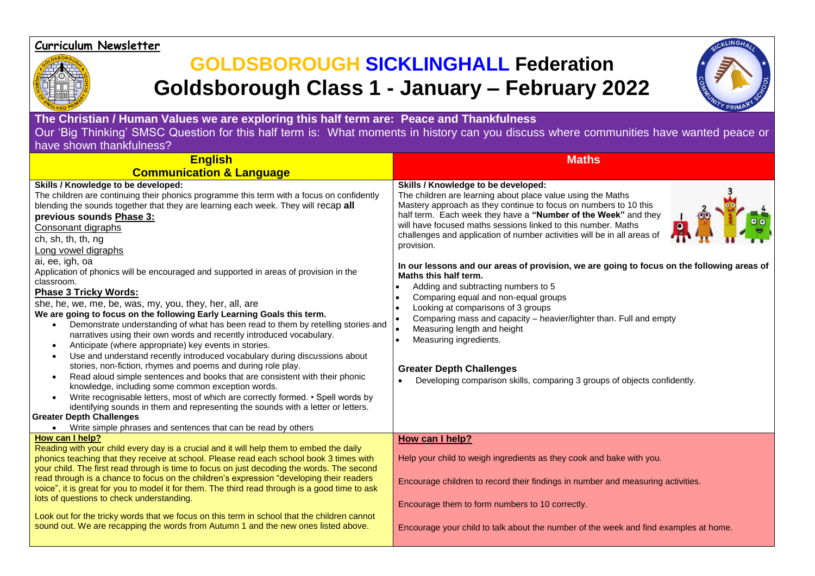## **Curriculum Newsletter**



## **GOLDSBOROUGH SICKLINGHALL Federation Goldsborough Class 1 - January – February 2022**



**The Christian / Human Values we are exploring this half term are: Peace and Thankfulness** Our 'Big Thinking' SMSC Question for this half term is: What moments in history can you discuss where communities have wanted peace or have shown thankfulness?

| <b>English</b>                                                                                                                                                                                                                                                                                                                                                                                                                                                                                                                                                                                                                                                                                                                                                                                                                                                                                                                                                                                                                                                                                                                                                                                                                                                                                                                                                                                                                                            | <b>Maths</b>                                                                                                                                                                                                                                                                                                                                                                                                                                                                                                                                                                                                                                                                                                                                                                                                                                                                                 |
|-----------------------------------------------------------------------------------------------------------------------------------------------------------------------------------------------------------------------------------------------------------------------------------------------------------------------------------------------------------------------------------------------------------------------------------------------------------------------------------------------------------------------------------------------------------------------------------------------------------------------------------------------------------------------------------------------------------------------------------------------------------------------------------------------------------------------------------------------------------------------------------------------------------------------------------------------------------------------------------------------------------------------------------------------------------------------------------------------------------------------------------------------------------------------------------------------------------------------------------------------------------------------------------------------------------------------------------------------------------------------------------------------------------------------------------------------------------|----------------------------------------------------------------------------------------------------------------------------------------------------------------------------------------------------------------------------------------------------------------------------------------------------------------------------------------------------------------------------------------------------------------------------------------------------------------------------------------------------------------------------------------------------------------------------------------------------------------------------------------------------------------------------------------------------------------------------------------------------------------------------------------------------------------------------------------------------------------------------------------------|
| <b>Communication &amp; Language</b>                                                                                                                                                                                                                                                                                                                                                                                                                                                                                                                                                                                                                                                                                                                                                                                                                                                                                                                                                                                                                                                                                                                                                                                                                                                                                                                                                                                                                       |                                                                                                                                                                                                                                                                                                                                                                                                                                                                                                                                                                                                                                                                                                                                                                                                                                                                                              |
| Skills / Knowledge to be developed:<br>The children are continuing their phonics programme this term with a focus on confidently<br>blending the sounds together that they are learning each week. They will recap all<br>previous sounds Phase 3:<br>Consonant digraphs<br>ch, sh, th, th, ng<br>Long vowel digraphs<br>ai, ee, igh, oa<br>Application of phonics will be encouraged and supported in areas of provision in the<br>classroom.<br><b>Phase 3 Tricky Words:</b><br>she, he, we, me, be, was, my, you, they, her, all, are<br>We are going to focus on the following Early Learning Goals this term.<br>Demonstrate understanding of what has been read to them by retelling stories and<br>$\bullet$<br>narratives using their own words and recently introduced vocabulary.<br>Anticipate (where appropriate) key events in stories.<br>$\bullet$<br>Use and understand recently introduced vocabulary during discussions about<br>$\bullet$<br>stories, non-fiction, rhymes and poems and during role play.<br>Read aloud simple sentences and books that are consistent with their phonic<br>$\bullet$<br>knowledge, including some common exception words.<br>Write recognisable letters, most of which are correctly formed. • Spell words by<br>identifying sounds in them and representing the sounds with a letter or letters.<br><b>Greater Depth Challenges</b><br>Write simple phrases and sentences that can be read by others | Skills / Knowledge to be developed:<br>The children are learning about place value using the Maths<br>Mastery approach as they continue to focus on numbers to 10 this<br>half term. Each week they have a "Number of the Week" and they<br>will have focused maths sessions linked to this number. Maths<br>challenges and application of number activities will be in all areas of<br>provision.<br>In our lessons and our areas of provision, we are going to focus on the following areas of<br>Maths this half term.<br>Adding and subtracting numbers to 5<br>Comparing equal and non-equal groups<br>Looking at comparisons of 3 groups<br>Comparing mass and capacity - heavier/lighter than. Full and empty<br>Measuring length and height<br>Measuring ingredients.<br><b>Greater Depth Challenges</b><br>Developing comparison skills, comparing 3 groups of objects confidently. |
| How can I help?<br>Reading with your child every day is a crucial and it will help them to embed the daily<br>phonics teaching that they receive at school. Please read each school book 3 times with<br>your child. The first read through is time to focus on just decoding the words. The second<br>read through is a chance to focus on the children's expression "developing their readers<br>voice", it is great for you to model it for them. The third read through is a good time to ask<br>lots of questions to check understanding.<br>Look out for the tricky words that we focus on this term in school that the children cannot<br>sound out. We are recapping the words from Autumn 1 and the new ones listed above.                                                                                                                                                                                                                                                                                                                                                                                                                                                                                                                                                                                                                                                                                                                       | How can I help?<br>Help your child to weigh ingredients as they cook and bake with you.<br>Encourage children to record their findings in number and measuring activities.<br>Encourage them to form numbers to 10 correctly.<br>Encourage your child to talk about the number of the week and find examples at home.                                                                                                                                                                                                                                                                                                                                                                                                                                                                                                                                                                        |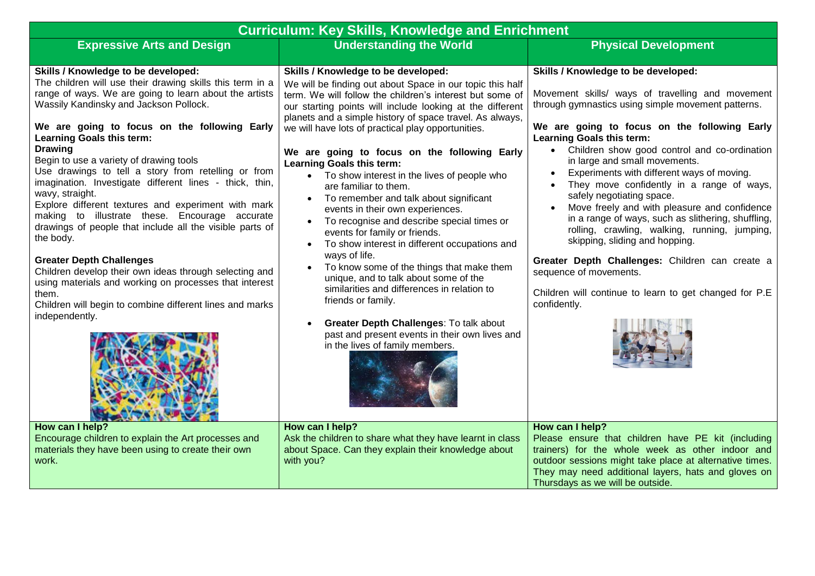| <b>Curriculum: Key Skills, Knowledge and Enrichment</b>                                                                                                                                                                                                                                                                                                                                                                                                                                                                                                                                                                                                                                                                                                                                                                                                                                           |                                                                                                                                                                                                                                                                                                                                                                                                                                                                                                                                                                                                                                                                                                                                                                                                                                                                                                           |                                                                                                                                                                                                                                                                                                                                                                                                                                                                                                                                                                                                                                                                                                                                                                                                           |  |  |  |
|---------------------------------------------------------------------------------------------------------------------------------------------------------------------------------------------------------------------------------------------------------------------------------------------------------------------------------------------------------------------------------------------------------------------------------------------------------------------------------------------------------------------------------------------------------------------------------------------------------------------------------------------------------------------------------------------------------------------------------------------------------------------------------------------------------------------------------------------------------------------------------------------------|-----------------------------------------------------------------------------------------------------------------------------------------------------------------------------------------------------------------------------------------------------------------------------------------------------------------------------------------------------------------------------------------------------------------------------------------------------------------------------------------------------------------------------------------------------------------------------------------------------------------------------------------------------------------------------------------------------------------------------------------------------------------------------------------------------------------------------------------------------------------------------------------------------------|-----------------------------------------------------------------------------------------------------------------------------------------------------------------------------------------------------------------------------------------------------------------------------------------------------------------------------------------------------------------------------------------------------------------------------------------------------------------------------------------------------------------------------------------------------------------------------------------------------------------------------------------------------------------------------------------------------------------------------------------------------------------------------------------------------------|--|--|--|
| <b>Expressive Arts and Design</b>                                                                                                                                                                                                                                                                                                                                                                                                                                                                                                                                                                                                                                                                                                                                                                                                                                                                 | <b>Understanding the World</b>                                                                                                                                                                                                                                                                                                                                                                                                                                                                                                                                                                                                                                                                                                                                                                                                                                                                            | <b>Physical Development</b>                                                                                                                                                                                                                                                                                                                                                                                                                                                                                                                                                                                                                                                                                                                                                                               |  |  |  |
| Skills / Knowledge to be developed:<br>The children will use their drawing skills this term in a<br>range of ways. We are going to learn about the artists<br>Wassily Kandinsky and Jackson Pollock.<br>We are going to focus on the following Early<br>Learning Goals this term:<br><b>Drawing</b><br>Begin to use a variety of drawing tools<br>Use drawings to tell a story from retelling or from<br>imagination. Investigate different lines - thick, thin,<br>wavy, straight.<br>Explore different textures and experiment with mark<br>making to illustrate these. Encourage accurate<br>drawings of people that include all the visible parts of<br>the body.<br><b>Greater Depth Challenges</b><br>Children develop their own ideas through selecting and<br>using materials and working on processes that interest<br>them.<br>Children will begin to combine different lines and marks | Skills / Knowledge to be developed:<br>We will be finding out about Space in our topic this half<br>term. We will follow the children's interest but some of<br>our starting points will include looking at the different<br>planets and a simple history of space travel. As always,<br>we will have lots of practical play opportunities.<br>We are going to focus on the following Early<br>Learning Goals this term:<br>• To show interest in the lives of people who<br>are familiar to them.<br>To remember and talk about significant<br>$\bullet$<br>events in their own experiences.<br>To recognise and describe special times or<br>events for family or friends.<br>To show interest in different occupations and<br>ways of life.<br>To know some of the things that make them<br>unique, and to talk about some of the<br>similarities and differences in relation to<br>friends or family. | Skills / Knowledge to be developed:<br>Movement skills/ ways of travelling and movement<br>through gymnastics using simple movement patterns.<br>We are going to focus on the following Early<br><b>Learning Goals this term:</b><br>• Children show good control and co-ordination<br>in large and small movements.<br>Experiments with different ways of moving.<br>$\bullet$<br>They move confidently in a range of ways,<br>safely negotiating space.<br>Move freely and with pleasure and confidence<br>in a range of ways, such as slithering, shuffling,<br>rolling, crawling, walking, running, jumping,<br>skipping, sliding and hopping.<br>Greater Depth Challenges: Children can create a<br>sequence of movements.<br>Children will continue to learn to get changed for P.E<br>confidently. |  |  |  |
| independently.                                                                                                                                                                                                                                                                                                                                                                                                                                                                                                                                                                                                                                                                                                                                                                                                                                                                                    | Greater Depth Challenges: To talk about<br>past and present events in their own lives and<br>in the lives of family members.                                                                                                                                                                                                                                                                                                                                                                                                                                                                                                                                                                                                                                                                                                                                                                              |                                                                                                                                                                                                                                                                                                                                                                                                                                                                                                                                                                                                                                                                                                                                                                                                           |  |  |  |
| How can I help?<br>Encourage children to explain the Art processes and<br>materials they have been using to create their own<br>work.                                                                                                                                                                                                                                                                                                                                                                                                                                                                                                                                                                                                                                                                                                                                                             | How can I help?<br>Ask the children to share what they have learnt in class<br>about Space. Can they explain their knowledge about<br>with you?                                                                                                                                                                                                                                                                                                                                                                                                                                                                                                                                                                                                                                                                                                                                                           | How can I help?<br>Please ensure that children have PE kit (including<br>trainers) for the whole week as other indoor and<br>outdoor sessions might take place at alternative times.<br>They may need additional layers, hats and gloves on<br>Thursdays as we will be outside.                                                                                                                                                                                                                                                                                                                                                                                                                                                                                                                           |  |  |  |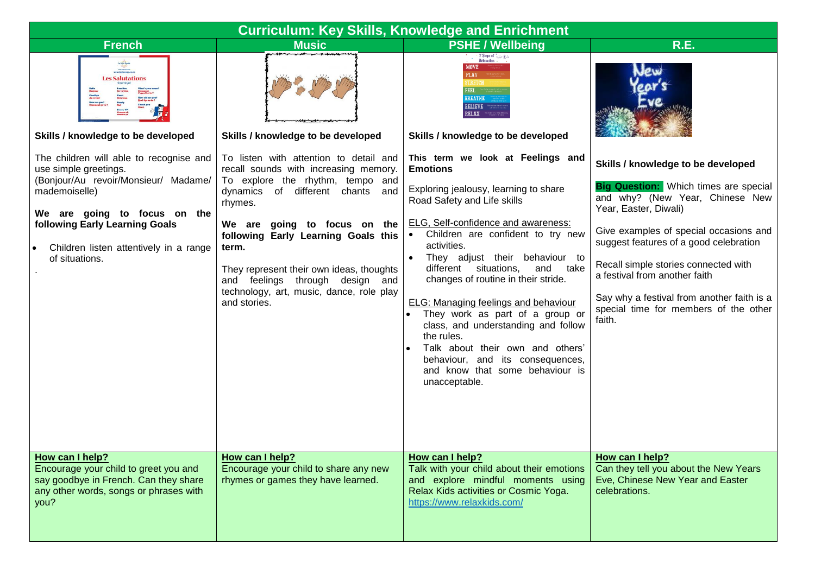| <b>Curriculum: Key Skills, Knowledge and Enrichment</b>                                                                                             |                                                                                                                                                                                                                                    |                                                                                                                                                                                                                                                                                                                                                                                                                                                                                                                                   |                                                                                                                                                                                                                                                                                                                        |  |  |
|-----------------------------------------------------------------------------------------------------------------------------------------------------|------------------------------------------------------------------------------------------------------------------------------------------------------------------------------------------------------------------------------------|-----------------------------------------------------------------------------------------------------------------------------------------------------------------------------------------------------------------------------------------------------------------------------------------------------------------------------------------------------------------------------------------------------------------------------------------------------------------------------------------------------------------------------------|------------------------------------------------------------------------------------------------------------------------------------------------------------------------------------------------------------------------------------------------------------------------------------------------------------------------|--|--|
| <b>French</b>                                                                                                                                       | <b>Music</b>                                                                                                                                                                                                                       | <b>PSHE / Wellbeing</b>                                                                                                                                                                                                                                                                                                                                                                                                                                                                                                           | <b>R.E.</b>                                                                                                                                                                                                                                                                                                            |  |  |
| ta kilo kunto<br>Onto<br>www.hiptimeete.co.uk<br><b>Les Salutations</b><br>Skills / knowledge to be developed                                       | Skills / knowledge to be developed                                                                                                                                                                                                 | - 7 Steps of $\left  \begin{array}{cc} \epsilon_{\rm clis} & k_{\rm clis} \\ \epsilon_{\rm claxation} & \epsilon_{\rm clis} \end{array} \right $<br>MOVE<br><b>PLAY</b><br><b>STRETCH</b><br><b>FEEL</b><br><b>BREATHE</b><br><b>BELIEVE</b><br>RELAX -<br>Skills / knowledge to be developed                                                                                                                                                                                                                                     |                                                                                                                                                                                                                                                                                                                        |  |  |
| The children will able to recognise and<br>use simple greetings.<br>(Bonjour/Au revoir/Monsieur/ Madame/<br>mademoiselle)                           | To listen with attention to detail and<br>recall sounds with increasing memory.<br>To explore the rhythm, tempo and<br>dynamics of different chants and                                                                            | This term we look at Feelings and<br><b>Emotions</b><br>Exploring jealousy, learning to share                                                                                                                                                                                                                                                                                                                                                                                                                                     | Skills / knowledge to be developed<br><b>Big Question:</b> Which times are special                                                                                                                                                                                                                                     |  |  |
| We are going to focus on the<br>following Early Learning Goals<br>Children listen attentively in a range<br>of situations.                          | rhymes.<br>We are going to focus on the<br>following Early Learning Goals this<br>term.<br>They represent their own ideas, thoughts<br>and feelings through design and<br>technology, art, music, dance, role play<br>and stories. | Road Safety and Life skills<br>ELG, Self-confidence and awareness:<br>Children are confident to try new<br>$\bullet$<br>activities.<br>They adjust their behaviour to<br>$\bullet$<br>different situations,<br>and take<br>changes of routine in their stride.<br><b>ELG: Managing feelings and behaviour</b><br>They work as part of a group or<br>class, and understanding and follow<br>the rules.<br>Talk about their own and others'<br>behaviour, and its consequences,<br>and know that some behaviour is<br>unacceptable. | and why? (New Year, Chinese New<br>Year, Easter, Diwali)<br>Give examples of special occasions and<br>suggest features of a good celebration<br>Recall simple stories connected with<br>a festival from another faith<br>Say why a festival from another faith is a<br>special time for members of the other<br>faith. |  |  |
| How can I help?<br>Encourage your child to greet you and<br>say goodbye in French. Can they share<br>any other words, songs or phrases with<br>you? | How can I help?<br>Encourage your child to share any new<br>rhymes or games they have learned.                                                                                                                                     | How can I help?<br>Talk with your child about their emotions<br>and explore mindful moments using<br>Relax Kids activities or Cosmic Yoga.<br>https://www.relaxkids.com/                                                                                                                                                                                                                                                                                                                                                          | How can I help?<br>Can they tell you about the New Years<br>Eve, Chinese New Year and Easter<br>celebrations.                                                                                                                                                                                                          |  |  |